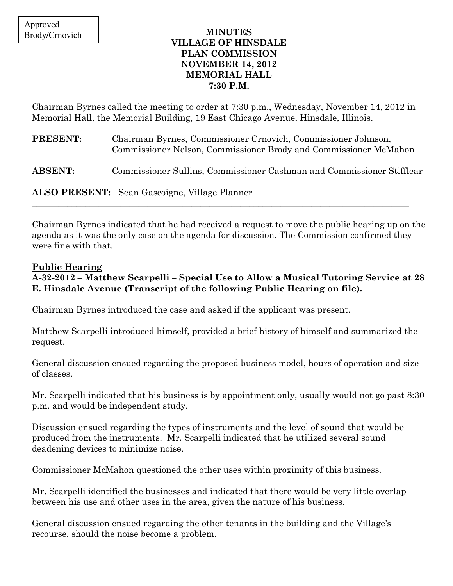#### MINUTES VILLAGE OF HINSDALE PLAN COMMISSION NOVEMBER 14, 2012 MEMORIAL HALL 7:30 P.M.

Chairman Byrnes called the meeting to order at 7:30 p.m., Wednesday, November 14, 2012 in Memorial Hall, the Memorial Building, 19 East Chicago Avenue, Hinsdale, Illinois.

| <b>PRESENT:</b> | Chairman Byrnes, Commissioner Crnovich, Commissioner Johnson,<br>Commissioner Nelson, Commissioner Brody and Commissioner McMahon |
|-----------------|-----------------------------------------------------------------------------------------------------------------------------------|
| <b>ABSENT:</b>  | Commissioner Sullins, Commissioner Cashman and Commissioner Stifflear                                                             |
|                 | <b>ALSO PRESENT:</b> Sean Gascoigne, Village Planner                                                                              |

Chairman Byrnes indicated that he had received a request to move the public hearing up on the agenda as it was the only case on the agenda for discussion. The Commission confirmed they were fine with that.

# Public Hearing

## A-32-2012 – Matthew Scarpelli – Special Use to Allow a Musical Tutoring Service at 28 E. Hinsdale Avenue (Transcript of the following Public Hearing on file).

Chairman Byrnes introduced the case and asked if the applicant was present.

Matthew Scarpelli introduced himself, provided a brief history of himself and summarized the request.

General discussion ensued regarding the proposed business model, hours of operation and size of classes.

Mr. Scarpelli indicated that his business is by appointment only, usually would not go past 8:30 p.m. and would be independent study.

Discussion ensued regarding the types of instruments and the level of sound that would be produced from the instruments. Mr. Scarpelli indicated that he utilized several sound deadening devices to minimize noise.

Commissioner McMahon questioned the other uses within proximity of this business.

Mr. Scarpelli identified the businesses and indicated that there would be very little overlap between his use and other uses in the area, given the nature of his business.

General discussion ensued regarding the other tenants in the building and the Village's recourse, should the noise become a problem.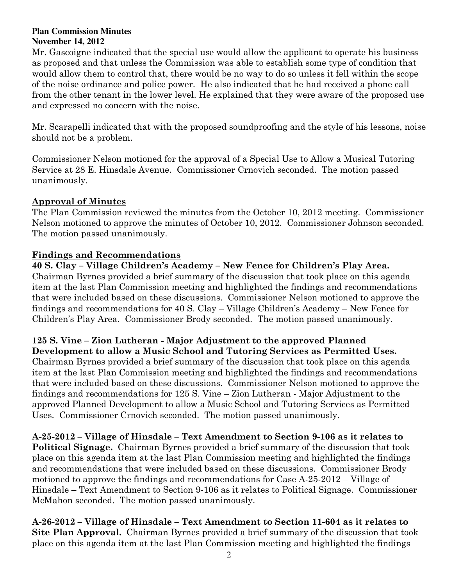#### **Plan Commission Minutes November 14, 2012**

Mr. Gascoigne indicated that the special use would allow the applicant to operate his business as proposed and that unless the Commission was able to establish some type of condition that would allow them to control that, there would be no way to do so unless it fell within the scope of the noise ordinance and police power. He also indicated that he had received a phone call from the other tenant in the lower level. He explained that they were aware of the proposed use and expressed no concern with the noise.

Mr. Scarapelli indicated that with the proposed soundproofing and the style of his lessons, noise should not be a problem.

Commissioner Nelson motioned for the approval of a Special Use to Allow a Musical Tutoring Service at 28 E. Hinsdale Avenue. Commissioner Crnovich seconded. The motion passed unanimously.

### Approval of Minutes

The Plan Commission reviewed the minutes from the October 10, 2012 meeting. Commissioner Nelson motioned to approve the minutes of October 10, 2012. Commissioner Johnson seconded. The motion passed unanimously.

# Findings and Recommendations

## 40 S. Clay – Village Children's Academy – New Fence for Children's Play Area.

Chairman Byrnes provided a brief summary of the discussion that took place on this agenda item at the last Plan Commission meeting and highlighted the findings and recommendations that were included based on these discussions. Commissioner Nelson motioned to approve the findings and recommendations for 40 S. Clay – Village Children's Academy – New Fence for Children's Play Area. Commissioner Brody seconded. The motion passed unanimously.

# 125 S. Vine – Zion Lutheran - Major Adjustment to the approved Planned

Development to allow a Music School and Tutoring Services as Permitted Uses. Chairman Byrnes provided a brief summary of the discussion that took place on this agenda item at the last Plan Commission meeting and highlighted the findings and recommendations that were included based on these discussions. Commissioner Nelson motioned to approve the findings and recommendations for 125 S. Vine – Zion Lutheran - Major Adjustment to the approved Planned Development to allow a Music School and Tutoring Services as Permitted Uses. Commissioner Crnovich seconded. The motion passed unanimously.

A-25-2012 – Village of Hinsdale – Text Amendment to Section 9-106 as it relates to Political Signage. Chairman Byrnes provided a brief summary of the discussion that took place on this agenda item at the last Plan Commission meeting and highlighted the findings and recommendations that were included based on these discussions. Commissioner Brody motioned to approve the findings and recommendations for Case A-25-2012 – Village of Hinsdale – Text Amendment to Section 9-106 as it relates to Political Signage. Commissioner McMahon seconded. The motion passed unanimously.

A-26-2012 – Village of Hinsdale – Text Amendment to Section 11-604 as it relates to Site Plan Approval. Chairman Byrnes provided a brief summary of the discussion that took place on this agenda item at the last Plan Commission meeting and highlighted the findings